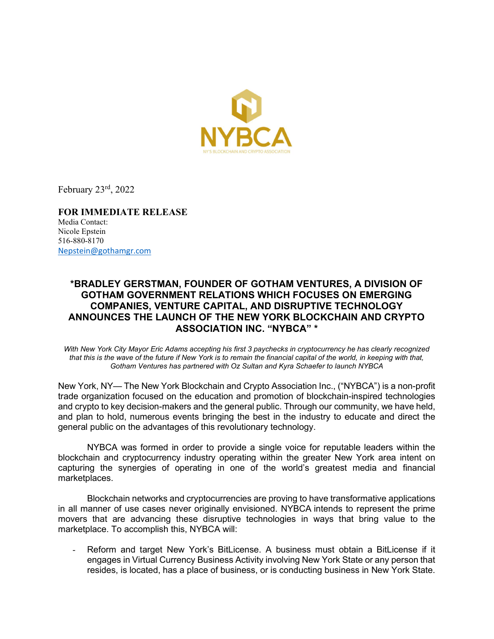

February 23rd, 2022

FOR IMMEDIATE RELEASE Media Contact: Nicole Epstein 516-880-8170 Nepstein@gothamgr.com

## \*BRADLEY GERSTMAN, FOUNDER OF GOTHAM VENTURES, A DIVISION OF GOTHAM GOVERNMENT RELATIONS WHICH FOCUSES ON EMERGING COMPANIES, VENTURE CAPITAL, AND DISRUPTIVE TECHNOLOGY ANNOUNCES THE LAUNCH OF THE NEW YORK BLOCKCHAIN AND CRYPTO ASSOCIATION INC. "NYBCA" \*

With New York City Mayor Eric Adams accepting his first 3 paychecks in cryptocurrency he has clearly recognized that this is the wave of the future if New York is to remain the financial capital of the world, in keeping with that, Gotham Ventures has partnered with Oz Sultan and Kyra Schaefer to launch NYBCA

New York, NY— The New York Blockchain and Crypto Association Inc., ("NYBCA") is a non-profit trade organization focused on the education and promotion of blockchain-inspired technologies and crypto to key decision-makers and the general public. Through our community, we have held, and plan to hold, numerous events bringing the best in the industry to educate and direct the general public on the advantages of this revolutionary technology.

NYBCA was formed in order to provide a single voice for reputable leaders within the blockchain and cryptocurrency industry operating within the greater New York area intent on capturing the synergies of operating in one of the world's greatest media and financial marketplaces.

Blockchain networks and cryptocurrencies are proving to have transformative applications in all manner of use cases never originally envisioned. NYBCA intends to represent the prime movers that are advancing these disruptive technologies in ways that bring value to the marketplace. To accomplish this, NYBCA will:

Reform and target New York's BitLicense. A business must obtain a BitLicense if it engages in Virtual Currency Business Activity involving New York State or any person that resides, is located, has a place of business, or is conducting business in New York State.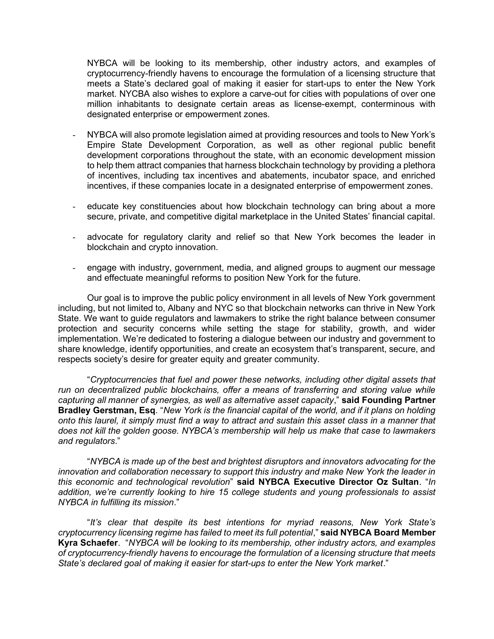NYBCA will be looking to its membership, other industry actors, and examples of cryptocurrency-friendly havens to encourage the formulation of a licensing structure that meets a State's declared goal of making it easier for start-ups to enter the New York market. NYCBA also wishes to explore a carve-out for cities with populations of over one million inhabitants to designate certain areas as license-exempt, conterminous with designated enterprise or empowerment zones.

- NYBCA will also promote legislation aimed at providing resources and tools to New York's Empire State Development Corporation, as well as other regional public benefit development corporations throughout the state, with an economic development mission to help them attract companies that harness blockchain technology by providing a plethora of incentives, including tax incentives and abatements, incubator space, and enriched incentives, if these companies locate in a designated enterprise of empowerment zones.
- educate key constituencies about how blockchain technology can bring about a more secure, private, and competitive digital marketplace in the United States' financial capital.
- advocate for regulatory clarity and relief so that New York becomes the leader in blockchain and crypto innovation.
- engage with industry, government, media, and aligned groups to augment our message and effectuate meaningful reforms to position New York for the future.

Our goal is to improve the public policy environment in all levels of New York government including, but not limited to, Albany and NYC so that blockchain networks can thrive in New York State. We want to guide regulators and lawmakers to strike the right balance between consumer protection and security concerns while setting the stage for stability, growth, and wider implementation. We're dedicated to fostering a dialogue between our industry and government to share knowledge, identify opportunities, and create an ecosystem that's transparent, secure, and respects society's desire for greater equity and greater community.

"Cryptocurrencies that fuel and power these networks, including other digital assets that run on decentralized public blockchains, offer a means of transferring and storing value while capturing all manner of synergies, as well as alternative asset capacity," said Founding Partner Bradley Gerstman, Esq. "New York is the financial capital of the world, and if it plans on holding onto this laurel, it simply must find a way to attract and sustain this asset class in a manner that does not kill the golden goose. NYBCA's membership will help us make that case to lawmakers and regulators."

"NYBCA is made up of the best and brightest disruptors and innovators advocating for the innovation and collaboration necessary to support this industry and make New York the leader in this economic and technological revolution" said NYBCA Executive Director Oz Sultan. "In addition, we're currently looking to hire 15 college students and young professionals to assist NYBCA in fulfilling its mission."

"It's clear that despite its best intentions for myriad reasons, New York State's cryptocurrency licensing regime has failed to meet its full potential," said NYBCA Board Member Kyra Schaefer. "NYBCA will be looking to its membership, other industry actors, and examples of cryptocurrency-friendly havens to encourage the formulation of a licensing structure that meets State's declared goal of making it easier for start-ups to enter the New York market."